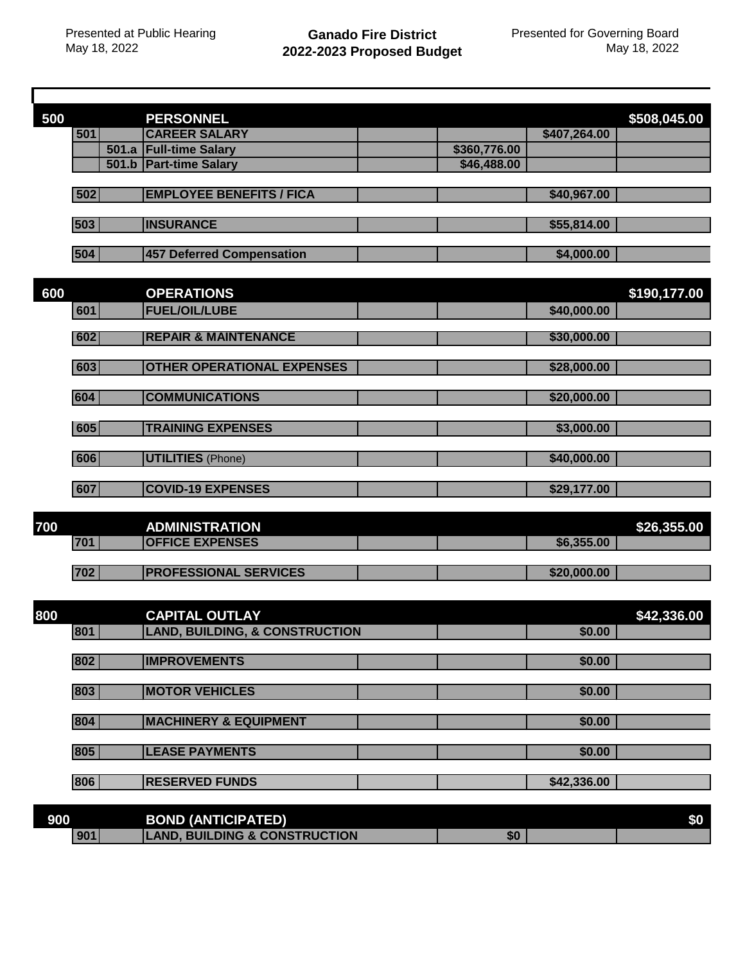Г

| <b>CAREER SALARY</b><br>501<br>\$407,264.00<br>501.a Full-time Salary<br>\$360,776.00<br>501.b   Part-time Salary<br>\$46,488.00<br>502<br><b>EMPLOYEE BENEFITS / FICA</b><br>\$40,967.00<br>503<br><b>INSURANCE</b><br>\$55,814.00<br>504<br>457 Deferred Compensation<br>\$4,000.00<br>600<br>\$190,177.00<br><b>OPERATIONS</b><br><b>FUEL/OIL/LUBE</b><br>601<br>\$40,000.00<br><b>REPAIR &amp; MAINTENANCE</b><br>602<br>\$30,000.00<br><b>OTHER OPERATIONAL EXPENSES</b><br>603<br>\$28,000.00<br>604<br><b>COMMUNICATIONS</b><br>\$20,000.00<br><b>TRAINING EXPENSES</b><br>605<br>\$3,000.00<br>606<br><b>UTILITIES</b> (Phone)<br>\$40,000.00<br>607<br><b>COVID-19 EXPENSES</b><br>\$29,177.00<br>700<br><b>ADMINISTRATION</b><br><b>OFFICE EXPENSES</b><br>701<br>\$6,355.00<br>702<br><b>PROFESSIONAL SERVICES</b><br>\$20,000.00<br>800<br><b>CAPITAL OUTLAY</b><br>\$42,336.00<br><b>LAND, BUILDING, &amp; CONSTRUCTION</b><br>801<br>\$0.00<br><b>IMPROVEMENTS</b><br>802<br>\$0.00<br>803<br><b>MOTOR VEHICLES</b><br>\$0.00<br>804<br><b>MACHINERY &amp; EQUIPMENT</b><br>\$0.00 | 500 |  | <b>PERSONNEL</b> |  | \$508,045.00 |
|--------------------------------------------------------------------------------------------------------------------------------------------------------------------------------------------------------------------------------------------------------------------------------------------------------------------------------------------------------------------------------------------------------------------------------------------------------------------------------------------------------------------------------------------------------------------------------------------------------------------------------------------------------------------------------------------------------------------------------------------------------------------------------------------------------------------------------------------------------------------------------------------------------------------------------------------------------------------------------------------------------------------------------------------------------------------------------------------------|-----|--|------------------|--|--------------|
|                                                                                                                                                                                                                                                                                                                                                                                                                                                                                                                                                                                                                                                                                                                                                                                                                                                                                                                                                                                                                                                                                                  |     |  |                  |  |              |
|                                                                                                                                                                                                                                                                                                                                                                                                                                                                                                                                                                                                                                                                                                                                                                                                                                                                                                                                                                                                                                                                                                  |     |  |                  |  |              |
|                                                                                                                                                                                                                                                                                                                                                                                                                                                                                                                                                                                                                                                                                                                                                                                                                                                                                                                                                                                                                                                                                                  |     |  |                  |  |              |
|                                                                                                                                                                                                                                                                                                                                                                                                                                                                                                                                                                                                                                                                                                                                                                                                                                                                                                                                                                                                                                                                                                  |     |  |                  |  |              |
|                                                                                                                                                                                                                                                                                                                                                                                                                                                                                                                                                                                                                                                                                                                                                                                                                                                                                                                                                                                                                                                                                                  |     |  |                  |  |              |
|                                                                                                                                                                                                                                                                                                                                                                                                                                                                                                                                                                                                                                                                                                                                                                                                                                                                                                                                                                                                                                                                                                  |     |  |                  |  |              |
|                                                                                                                                                                                                                                                                                                                                                                                                                                                                                                                                                                                                                                                                                                                                                                                                                                                                                                                                                                                                                                                                                                  |     |  |                  |  |              |
|                                                                                                                                                                                                                                                                                                                                                                                                                                                                                                                                                                                                                                                                                                                                                                                                                                                                                                                                                                                                                                                                                                  |     |  |                  |  |              |
|                                                                                                                                                                                                                                                                                                                                                                                                                                                                                                                                                                                                                                                                                                                                                                                                                                                                                                                                                                                                                                                                                                  |     |  |                  |  |              |
|                                                                                                                                                                                                                                                                                                                                                                                                                                                                                                                                                                                                                                                                                                                                                                                                                                                                                                                                                                                                                                                                                                  |     |  |                  |  |              |
|                                                                                                                                                                                                                                                                                                                                                                                                                                                                                                                                                                                                                                                                                                                                                                                                                                                                                                                                                                                                                                                                                                  |     |  |                  |  |              |
|                                                                                                                                                                                                                                                                                                                                                                                                                                                                                                                                                                                                                                                                                                                                                                                                                                                                                                                                                                                                                                                                                                  |     |  |                  |  |              |
|                                                                                                                                                                                                                                                                                                                                                                                                                                                                                                                                                                                                                                                                                                                                                                                                                                                                                                                                                                                                                                                                                                  |     |  |                  |  |              |
|                                                                                                                                                                                                                                                                                                                                                                                                                                                                                                                                                                                                                                                                                                                                                                                                                                                                                                                                                                                                                                                                                                  |     |  |                  |  |              |
|                                                                                                                                                                                                                                                                                                                                                                                                                                                                                                                                                                                                                                                                                                                                                                                                                                                                                                                                                                                                                                                                                                  |     |  |                  |  |              |
|                                                                                                                                                                                                                                                                                                                                                                                                                                                                                                                                                                                                                                                                                                                                                                                                                                                                                                                                                                                                                                                                                                  |     |  |                  |  |              |
|                                                                                                                                                                                                                                                                                                                                                                                                                                                                                                                                                                                                                                                                                                                                                                                                                                                                                                                                                                                                                                                                                                  |     |  |                  |  |              |
|                                                                                                                                                                                                                                                                                                                                                                                                                                                                                                                                                                                                                                                                                                                                                                                                                                                                                                                                                                                                                                                                                                  |     |  |                  |  |              |
|                                                                                                                                                                                                                                                                                                                                                                                                                                                                                                                                                                                                                                                                                                                                                                                                                                                                                                                                                                                                                                                                                                  |     |  |                  |  |              |
|                                                                                                                                                                                                                                                                                                                                                                                                                                                                                                                                                                                                                                                                                                                                                                                                                                                                                                                                                                                                                                                                                                  |     |  |                  |  |              |
|                                                                                                                                                                                                                                                                                                                                                                                                                                                                                                                                                                                                                                                                                                                                                                                                                                                                                                                                                                                                                                                                                                  |     |  |                  |  |              |
|                                                                                                                                                                                                                                                                                                                                                                                                                                                                                                                                                                                                                                                                                                                                                                                                                                                                                                                                                                                                                                                                                                  |     |  |                  |  | \$26,355.00  |
|                                                                                                                                                                                                                                                                                                                                                                                                                                                                                                                                                                                                                                                                                                                                                                                                                                                                                                                                                                                                                                                                                                  |     |  |                  |  |              |
|                                                                                                                                                                                                                                                                                                                                                                                                                                                                                                                                                                                                                                                                                                                                                                                                                                                                                                                                                                                                                                                                                                  |     |  |                  |  |              |
|                                                                                                                                                                                                                                                                                                                                                                                                                                                                                                                                                                                                                                                                                                                                                                                                                                                                                                                                                                                                                                                                                                  |     |  |                  |  |              |
|                                                                                                                                                                                                                                                                                                                                                                                                                                                                                                                                                                                                                                                                                                                                                                                                                                                                                                                                                                                                                                                                                                  |     |  |                  |  |              |
|                                                                                                                                                                                                                                                                                                                                                                                                                                                                                                                                                                                                                                                                                                                                                                                                                                                                                                                                                                                                                                                                                                  |     |  |                  |  |              |
|                                                                                                                                                                                                                                                                                                                                                                                                                                                                                                                                                                                                                                                                                                                                                                                                                                                                                                                                                                                                                                                                                                  |     |  |                  |  |              |
|                                                                                                                                                                                                                                                                                                                                                                                                                                                                                                                                                                                                                                                                                                                                                                                                                                                                                                                                                                                                                                                                                                  |     |  |                  |  |              |
|                                                                                                                                                                                                                                                                                                                                                                                                                                                                                                                                                                                                                                                                                                                                                                                                                                                                                                                                                                                                                                                                                                  |     |  |                  |  |              |
|                                                                                                                                                                                                                                                                                                                                                                                                                                                                                                                                                                                                                                                                                                                                                                                                                                                                                                                                                                                                                                                                                                  |     |  |                  |  |              |
|                                                                                                                                                                                                                                                                                                                                                                                                                                                                                                                                                                                                                                                                                                                                                                                                                                                                                                                                                                                                                                                                                                  |     |  |                  |  |              |
|                                                                                                                                                                                                                                                                                                                                                                                                                                                                                                                                                                                                                                                                                                                                                                                                                                                                                                                                                                                                                                                                                                  |     |  |                  |  |              |
| 805<br><b>LEASE PAYMENTS</b><br>\$0.00                                                                                                                                                                                                                                                                                                                                                                                                                                                                                                                                                                                                                                                                                                                                                                                                                                                                                                                                                                                                                                                           |     |  |                  |  |              |
|                                                                                                                                                                                                                                                                                                                                                                                                                                                                                                                                                                                                                                                                                                                                                                                                                                                                                                                                                                                                                                                                                                  |     |  |                  |  |              |
| 806<br><b>RESERVED FUNDS</b><br>\$42,336.00                                                                                                                                                                                                                                                                                                                                                                                                                                                                                                                                                                                                                                                                                                                                                                                                                                                                                                                                                                                                                                                      |     |  |                  |  |              |

| 900 |     | <b>BOND (ANTICIPATED)</b>                     |    | \$0 |
|-----|-----|-----------------------------------------------|----|-----|
|     | 901 | <b>, BUILDING &amp; CONSTRUCTION</b><br>_AND. | ъu |     |